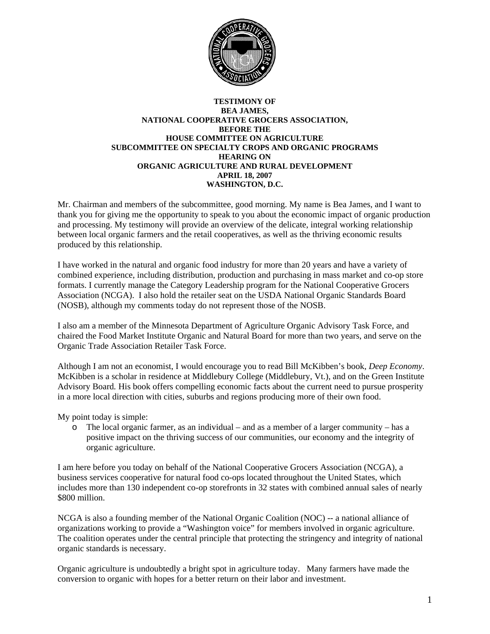

## **TESTIMONY OF BEA JAMES, NATIONAL COOPERATIVE GROCERS ASSOCIATION, BEFORE THE HOUSE COMMITTEE ON AGRICULTURE SUBCOMMITTEE ON SPECIALTY CROPS AND ORGANIC PROGRAMS HEARING ON ORGANIC AGRICULTURE AND RURAL DEVELOPMENT APRIL 18, 2007 WASHINGTON, D.C.**

Mr. Chairman and members of the subcommittee, good morning. My name is Bea James, and I want to thank you for giving me the opportunity to speak to you about the economic impact of organic production and processing. My testimony will provide an overview of the delicate, integral working relationship between local organic farmers and the retail cooperatives, as well as the thriving economic results produced by this relationship.

I have worked in the natural and organic food industry for more than 20 years and have a variety of combined experience, including distribution, production and purchasing in mass market and co-op store formats. I currently manage the Category Leadership program for the National Cooperative Grocers Association (NCGA). I also hold the retailer seat on the USDA National Organic Standards Board (NOSB), although my comments today do not represent those of the NOSB.

I also am a member of the Minnesota Department of Agriculture Organic Advisory Task Force, and chaired the Food Market Institute Organic and Natural Board for more than two years, and serve on the Organic Trade Association Retailer Task Force.

Although I am not an economist, I would encourage you to read Bill McKibben's book, *Deep Economy*. McKibben is a scholar in residence at Middlebury College (Middlebury, Vt.), and on the Green Institute Advisory Board*.* His book offers compelling economic facts about the current need to pursue prosperity in a more local direction with cities, suburbs and regions producing more of their own food.

My point today is simple:

o The local organic farmer, as an individual – and as a member of a larger community – has a positive impact on the thriving success of our communities, our economy and the integrity of organic agriculture.

I am here before you today on behalf of the National Cooperative Grocers Association (NCGA), a business services cooperative for natural food co-ops located throughout the United States, which includes more than 130 independent co-op storefronts in 32 states with combined annual sales of nearly \$800 million.

NCGA is also a founding member of the National Organic Coalition (NOC) -- a national alliance of organizations working to provide a "Washington voice" for members involved in organic agriculture. The coalition operates under the central principle that protecting the stringency and integrity of national organic standards is necessary.

Organic agriculture is undoubtedly a bright spot in agriculture today. Many farmers have made the conversion to organic with hopes for a better return on their labor and investment.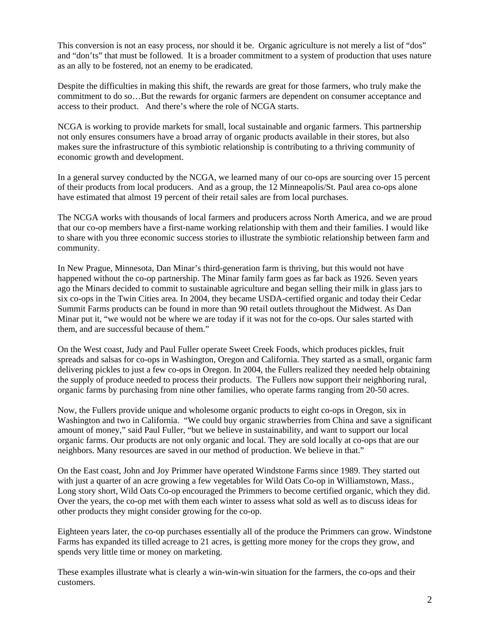This conversion is not an easy process, nor should it be. Organic agriculture is not merely a list of "dos" and "don'ts" that must be followed. It is a broader commitment to a system of production that uses nature as an ally to be fostered, not an enemy to be eradicated.

Despite the difficulties in making this shift, the rewards are great for those farmers, who truly make the commitment to do so…But the rewards for organic farmers are dependent on consumer acceptance and access to their product. And there's where the role of NCGA starts.

NCGA is working to provide markets for small, local sustainable and organic farmers. This partnership not only ensures consumers have a broad array of organic products available in their stores, but also makes sure the infrastructure of this symbiotic relationship is contributing to a thriving community of economic growth and development.

In a general survey conducted by the NCGA, we learned many of our co-ops are sourcing over 15 percent of their products from local producers. And as a group, the 12 Minneapolis/St. Paul area co-ops alone have estimated that almost 19 percent of their retail sales are from local purchases.

The NCGA works with thousands of local farmers and producers across North America, and we are proud that our co-op members have a first-name working relationship with them and their families. I would like to share with you three economic success stories to illustrate the symbiotic relationship between farm and community.

In New Prague, Minnesota, Dan Minar's third-generation farm is thriving, but this would not have happened without the co-op partnership. The Minar family farm goes as far back as 1926. Seven years ago the Minars decided to commit to sustainable agriculture and began selling their milk in glass jars to six co-ops in the Twin Cities area. In 2004, they became USDA-certified organic and today their Cedar Summit Farms products can be found in more than 90 retail outlets throughout the Midwest. As Dan Minar put it, "we would not be where we are today if it was not for the co-ops. Our sales started with them, and are successful because of them."

On the West coast, Judy and Paul Fuller operate Sweet Creek Foods, which produces pickles, fruit spreads and salsas for co-ops in Washington, Oregon and California. They started as a small, organic farm delivering pickles to just a few co-ops in Oregon. In 2004, the Fullers realized they needed help obtaining the supply of produce needed to process their products. The Fullers now support their neighboring rural, organic farms by purchasing from nine other families, who operate farms ranging from 20-50 acres.

Now, the Fullers provide unique and wholesome organic products to eight co-ops in Oregon, six in Washington and two in California. "We could buy organic strawberries from China and save a significant amount of money," said Paul Fuller, "but we believe in sustainability, and want to support our local organic farms. Our products are not only organic and local. They are sold locally at co-ops that are our neighbors. Many resources are saved in our method of production. We believe in that."

On the East coast, John and Joy Primmer have operated Windstone Farms since 1989. They started out with just a quarter of an acre growing a few vegetables for Wild Oats Co-op in Williamstown, Mass., Long story short, Wild Oats Co-op encouraged the Primmers to become certified organic, which they did. Over the years, the co-op met with them each winter to assess what sold as well as to discuss ideas for other products they might consider growing for the co-op.

Eighteen years later, the co-op purchases essentially all of the produce the Primmers can grow. Windstone Farms has expanded its tilled acreage to 21 acres, is getting more money for the crops they grow, and spends very little time or money on marketing.

These examples illustrate what is clearly a win-win-win situation for the farmers, the co-ops and their customers.